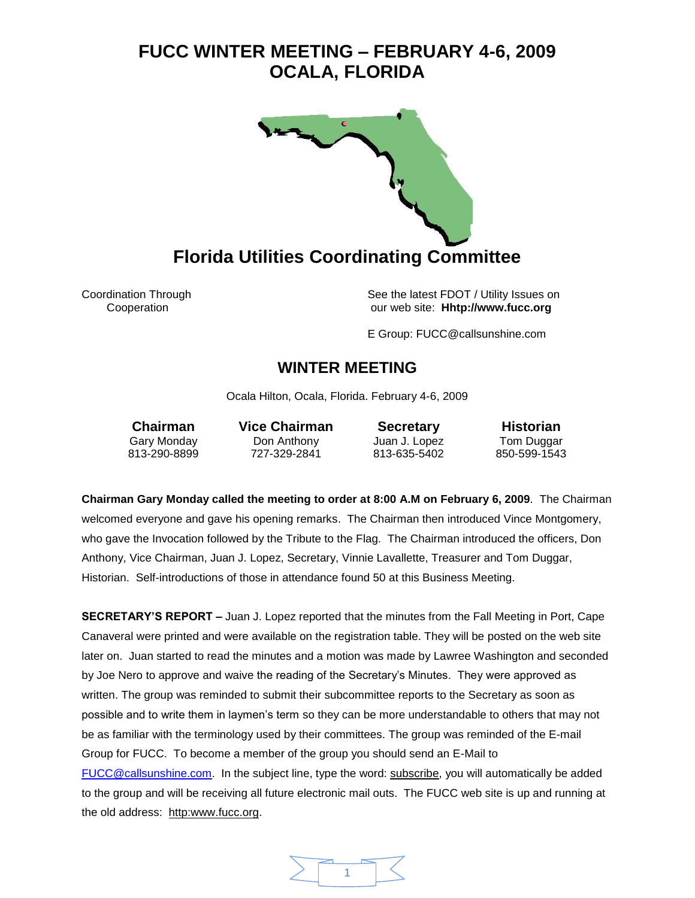

Coordination Through See the latest FDOT / Utility Issues on Cooperation our web site: **Hhtp://www.fucc.org**

E Group: FUCC@callsunshine.com

### **WINTER MEETING**

Ocala Hilton, Ocala, Florida. February 4-6, 2009

Gary Monday Don Anthony Juan J. Lopez Tom Duggar 813-290-8899 727-329-2841 813-635-5402 850-599-1543

**Chairman Vice Chairman Secretary Historian**

**Chairman Gary Monday called the meeting to order at 8:00 A.M on February 6, 2009**. The Chairman welcomed everyone and gave his opening remarks. The Chairman then introduced Vince Montgomery, who gave the Invocation followed by the Tribute to the Flag. The Chairman introduced the officers, Don Anthony, Vice Chairman, Juan J. Lopez, Secretary, Vinnie Lavallette, Treasurer and Tom Duggar, Historian. Self-introductions of those in attendance found 50 at this Business Meeting.

**SECRETARY'S REPORT –** Juan J. Lopez reported that the minutes from the Fall Meeting in Port, Cape Canaveral were printed and were available on the registration table. They will be posted on the web site later on. Juan started to read the minutes and a motion was made by Lawree Washington and seconded by Joe Nero to approve and waive the reading of the Secretary's Minutes. They were approved as written. The group was reminded to submit their subcommittee reports to the Secretary as soon as possible and to write them in laymen's term so they can be more understandable to others that may not be as familiar with the terminology used by their committees. The group was reminded of the E-mail Group for FUCC. To become a member of the group you should send an E-Mail to [FUCC@callsunshine.com.](mailto:FUCC@callsunshine.com) In the subject line, type the word: subscribe, you will automatically be added to the group and will be receiving all future electronic mail outs. The FUCC web site is up and running at the old address: http:www.fucc.org.

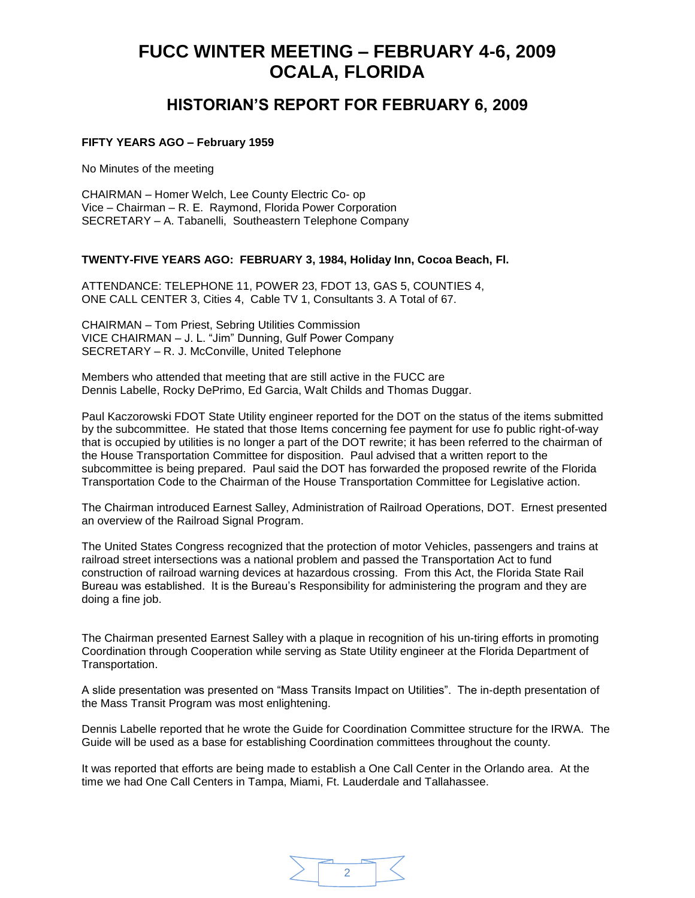### **HISTORIAN'S REPORT FOR FEBRUARY 6, 2009**

#### **FIFTY YEARS AGO – February 1959**

No Minutes of the meeting

CHAIRMAN – Homer Welch, Lee County Electric Co- op Vice – Chairman – R. E. Raymond, Florida Power Corporation SECRETARY – A. Tabanelli, Southeastern Telephone Company

#### **TWENTY-FIVE YEARS AGO: FEBRUARY 3, 1984, Holiday Inn, Cocoa Beach, Fl.**

ATTENDANCE: TELEPHONE 11, POWER 23, FDOT 13, GAS 5, COUNTIES 4, ONE CALL CENTER 3, Cities 4, Cable TV 1, Consultants 3. A Total of 67.

CHAIRMAN – Tom Priest, Sebring Utilities Commission VICE CHAIRMAN – J. L. "Jim" Dunning, Gulf Power Company SECRETARY – R. J. McConville, United Telephone

Members who attended that meeting that are still active in the FUCC are Dennis Labelle, Rocky DePrimo, Ed Garcia, Walt Childs and Thomas Duggar.

Paul Kaczorowski FDOT State Utility engineer reported for the DOT on the status of the items submitted by the subcommittee. He stated that those Items concerning fee payment for use fo public right-of-way that is occupied by utilities is no longer a part of the DOT rewrite; it has been referred to the chairman of the House Transportation Committee for disposition. Paul advised that a written report to the subcommittee is being prepared. Paul said the DOT has forwarded the proposed rewrite of the Florida Transportation Code to the Chairman of the House Transportation Committee for Legislative action.

The Chairman introduced Earnest Salley, Administration of Railroad Operations, DOT. Ernest presented an overview of the Railroad Signal Program.

The United States Congress recognized that the protection of motor Vehicles, passengers and trains at railroad street intersections was a national problem and passed the Transportation Act to fund construction of railroad warning devices at hazardous crossing. From this Act, the Florida State Rail Bureau was established. It is the Bureau's Responsibility for administering the program and they are doing a fine job.

The Chairman presented Earnest Salley with a plaque in recognition of his un-tiring efforts in promoting Coordination through Cooperation while serving as State Utility engineer at the Florida Department of Transportation.

A slide presentation was presented on "Mass Transits Impact on Utilities". The in-depth presentation of the Mass Transit Program was most enlightening.

Dennis Labelle reported that he wrote the Guide for Coordination Committee structure for the IRWA. The Guide will be used as a base for establishing Coordination committees throughout the county.

It was reported that efforts are being made to establish a One Call Center in the Orlando area. At the time we had One Call Centers in Tampa, Miami, Ft. Lauderdale and Tallahassee.

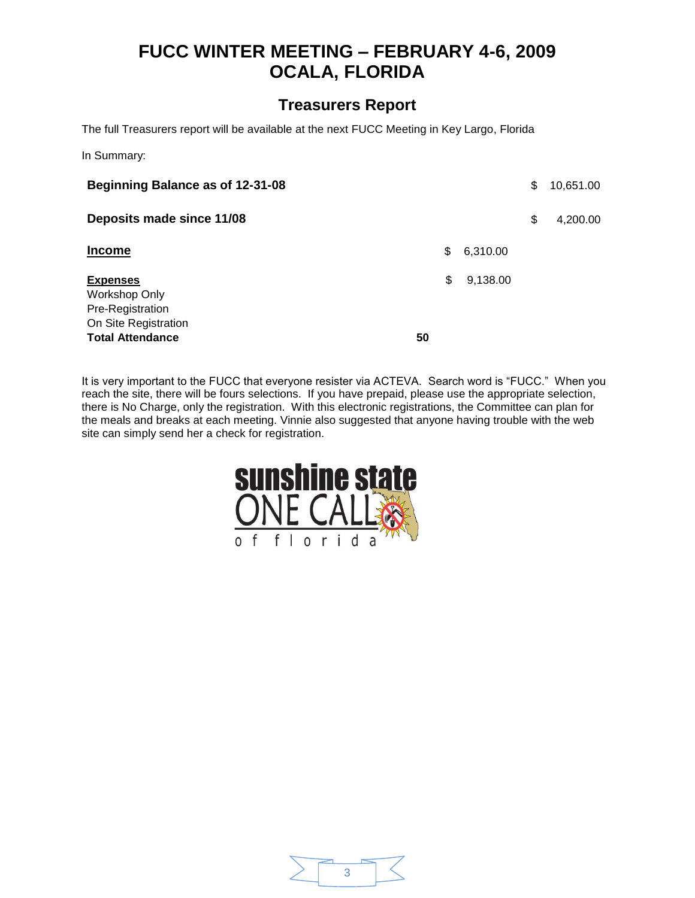### **Treasurers Report**

The full Treasurers report will be available at the next FUCC Meeting in Key Largo, Florida

In Summary:

| Beginning Balance as of 12-31-08                                                                        |          |          | \$<br>10,651.00 |
|---------------------------------------------------------------------------------------------------------|----------|----------|-----------------|
| Deposits made since 11/08                                                                               |          |          | \$<br>4,200.00  |
| <b>Income</b>                                                                                           | \$       | 6,310.00 |                 |
| <b>Expenses</b><br>Workshop Only<br>Pre-Registration<br>On Site Registration<br><b>Total Attendance</b> | \$<br>50 | 9,138.00 |                 |

It is very important to the FUCC that everyone resister via ACTEVA. Search word is "FUCC." When you reach the site, there will be fours selections. If you have prepaid, please use the appropriate selection, there is No Charge, only the registration. With this electronic registrations, the Committee can plan for the meals and breaks at each meeting. Vinnie also suggested that anyone having trouble with the web site can simply send her a check for registration.



|  | . .<br>. .<br>. .<br>man and |
|--|------------------------------|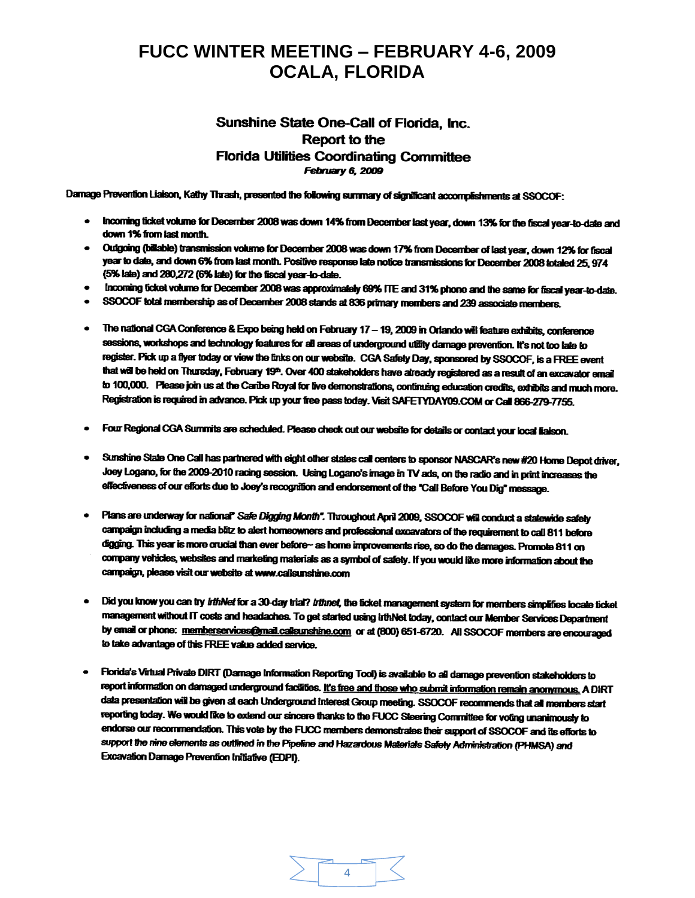#### Sunshine State One-Call of Florida, Inc. **Report to the Florida Utilities Coordinating Committee February 6, 2009**

Damage Prevention Liaison, Kathy Thrash, presented the following summary of significant accomplishments at SSOCOF:

- . Incoming ticket volume for December 2008 was down 14% from December last year, down 13% for the fiscal year-to-date and down 1% from last month.
- Outgoing (billable) transmission volume for December 2008 was down 17% from December of last year, down 12% for fiscal year to date, and down 6% from last month. Positive response late notice transmissions for December 2008 totaled 25, 974 (5% late) and 280,272 (6% late) for the fiscal year-to-date.
- Incoming ticket volume for December 2008 was approximately 69% ITE and 31% phone and the same for fiscal year-to-date.
- · SSOCOF total membership as of December 2008 stands at 836 primary members and 239 associate members.
- The national CGA Conference & Expo being held on February 17 19, 2009 in Orlando will feature exhibits, conference sessions, workshops and technology features for all areas of underground utility damage prevention. It's not too late to register. Pick up a flyer today or view the finks on our website. CGA Safety Day, sponsored by SSOCOF, is a FREE event that will be held on Thursday, February 19<sup>th</sup>. Over 400 stakeholders have already registered as a result of an excavator email to 100,000. Please join us at the Caribe Royal for live demonstrations, continuing education credits, exhibits and much more. Registration is required in advance. Pick up your free pass today. Visit SAFETYDAY09.COM or Call 866-279-7755.
- · Four Regional CGA Summits are scheduled. Please check out our website for details or contact your local liaison.
- . Sunshine State One Call has partnered with eight other states call centers to sponsor NASCAR's new #20 Home Depot driver, Joey Logano, for the 2009-2010 racing session. Using Logano's image in TV ads, on the radio and in print increases the effectiveness of our efforts due to Joey's recognition and endorsement of the "Call Before You Dig" message.
- . Plans are underway for national" Safe Digging Month". Throughout April 2009, SSOCOF will conduct a statewide safety campaign including a media blitz to alert homeowners and professional excavators of the requirement to call 811 before digging. This year is more crucial than ever before- as home improvements rise, so do the damages. Promote 811 on company vehicles, websites and marketing materials as a symbol of safety. If you would like more information about the campaign, please visit our website at www.callsunshine.com
- . Did you know you can try irthNet for a 30-day trial? irthnet, the ticket management system for members simplifies locate ticket management without IT costs and headaches. To get started using irthNet today, contact our Member Services Department by email or phone: memberservices@mail.callsunshine.com or at (800) 651-6720. All SSOCOF members are encouraged to take advantage of this FREE value added service.
- Florida's Virtual Private DIRT (Damage Information Reporting Tool) is available to all damage prevention stakeholders to  $\bullet$ report information on damaged underground facilities. It's free and those who submit information remain anonymous. A DIRT data presentation will be given at each Underground Interest Group meeting. SSOCOF recommends that all members start reporting today. We would like to extend our sincere thanks to the FUCC Steering Committee for voting unanimously to endorse our recommendation. This vote by the FUCC members demonstrates their support of SSOCOF and its efforts to support the nine elements as outlined in the Pipeline and Hazardous Materials Safety Administration (PHMSA) and Excavation Damage Prevention Initiative (EDPI).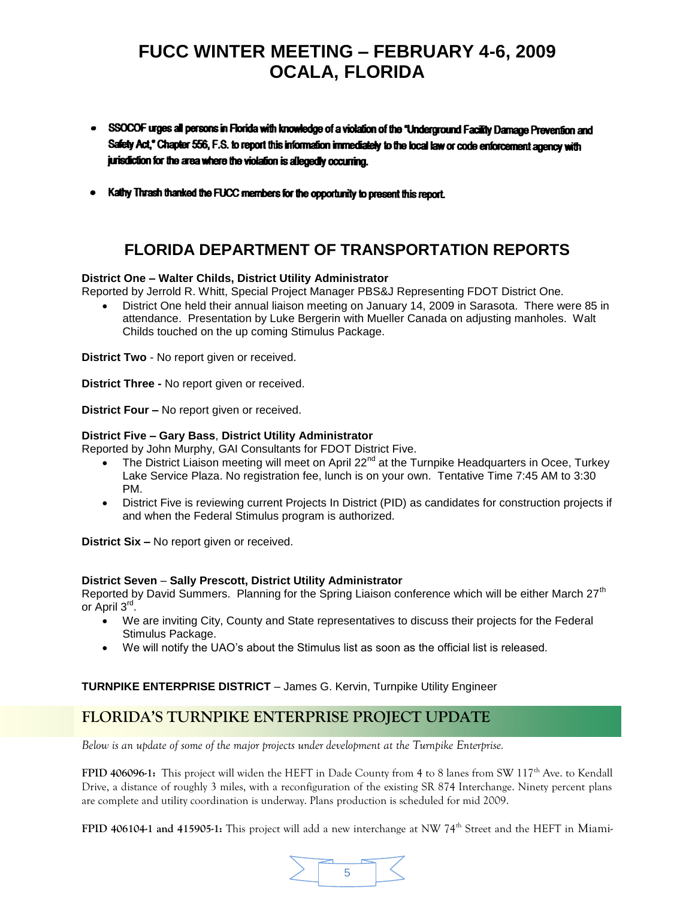- · SSOCOF urges all persons in Florida with knowledge of a violation of the "Underground Facility Damage Prevention and Safety Act," Chapter 556, F.S. to report this information immediately to the local law or code enforcement agency with jurisdiction for the area where the violation is allegedly occurring.
- Kathy Thrash thanked the FUCC members for the opportunity to present this report.

### **FLORIDA DEPARTMENT OF TRANSPORTATION REPORTS**

#### **District One – Walter Childs, District Utility Administrator**

Reported by Jerrold R. Whitt, Special Project Manager PBS&J Representing FDOT District One.

 District One held their annual liaison meeting on January 14, 2009 in Sarasota. There were 85 in attendance. Presentation by Luke Bergerin with Mueller Canada on adjusting manholes. Walt Childs touched on the up coming Stimulus Package.

**District Two** - No report given or received.

**District Three -** No report given or received.

**District Four –** No report given or received.

#### **District Five – Gary Bass**, **District Utility Administrator**

Reported by John Murphy, GAI Consultants for FDOT District Five.

- The District Liaison meeting will meet on April 22<sup>nd</sup> at the Turnpike Headquarters in Ocee, Turkey Lake Service Plaza. No registration fee, lunch is on your own. Tentative Time 7:45 AM to 3:30 PM.
- District Five is reviewing current Projects In District (PID) as candidates for construction projects if and when the Federal Stimulus program is authorized.

**District Six –** No report given or received.

#### **District Seven** – **Sally Prescott, District Utility Administrator**

Reported by David Summers. Planning for the Spring Liaison conference which will be either March 27<sup>th</sup> or April 3<sup>rd</sup>.

- We are inviting City, County and State representatives to discuss their projects for the Federal Stimulus Package.
- We will notify the UAO's about the Stimulus list as soon as the official list is released.

# **TURNPIKE ENTERPRISE DISTRICT** – James G. Kervin, Turnpike Utility Engineer

### **FLORIDA'S TURNPIKE ENTERPRISE PROJECT UPDATE**

*Below is an update of some of the major projects under development at the Turnpike Enterprise.*

**FPID 406096-1:** This project will widen the HEFT in Dade County from 4 to 8 lanes from SW 117<sup>th</sup> Ave. to Kendall Drive, a distance of roughly 3 miles, with a reconfiguration of the existing SR 874 Interchange. Ninety percent plans are complete and utility coordination is underway. Plans production is scheduled for mid 2009.

**FPID 406104-1 and 415905-1:** This project will add a new interchange at NW 74<sup>th</sup> Street and the HEFT in Miami-

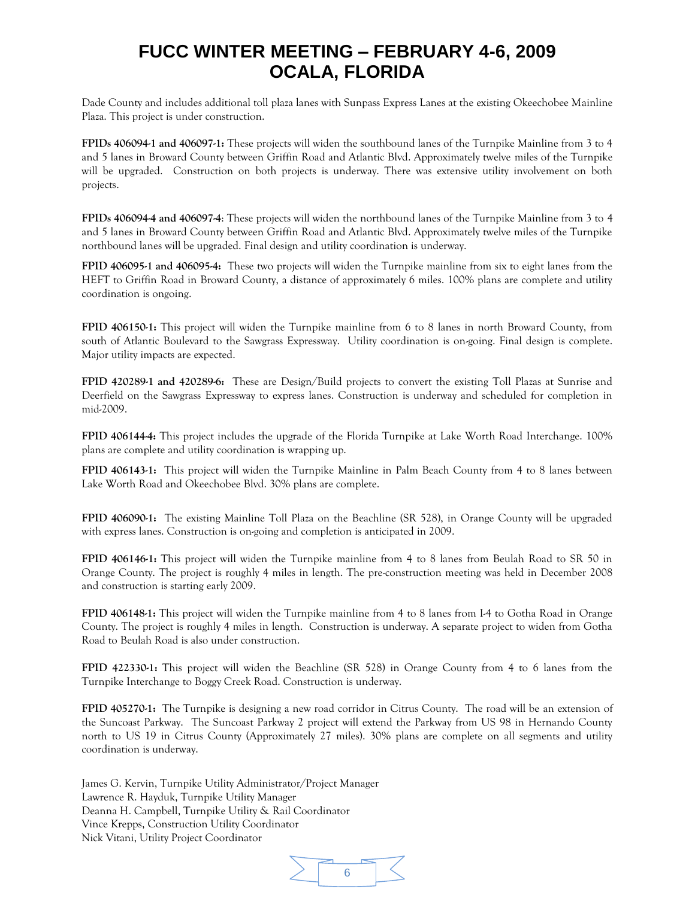Dade County and includes additional toll plaza lanes with Sunpass Express Lanes at the existing Okeechobee Mainline Plaza. This project is under construction.

**FPIDs 406094-1 and 406097-1:** These projects will widen the southbound lanes of the Turnpike Mainline from 3 to 4 and 5 lanes in Broward County between Griffin Road and Atlantic Blvd. Approximately twelve miles of the Turnpike will be upgraded. Construction on both projects is underway. There was extensive utility involvement on both projects.

**FPIDs 406094-4 and 406097-4**: These projects will widen the northbound lanes of the Turnpike Mainline from 3 to 4 and 5 lanes in Broward County between Griffin Road and Atlantic Blvd. Approximately twelve miles of the Turnpike northbound lanes will be upgraded. Final design and utility coordination is underway.

**FPID 406095-1 and 406095-4:** These two projects will widen the Turnpike mainline from six to eight lanes from the HEFT to Griffin Road in Broward County, a distance of approximately 6 miles. 100% plans are complete and utility coordination is ongoing.

**FPID 406150-1:** This project will widen the Turnpike mainline from 6 to 8 lanes in north Broward County, from south of Atlantic Boulevard to the Sawgrass Expressway. Utility coordination is on-going. Final design is complete. Major utility impacts are expected.

**FPID 420289-1 and 420289-6:** These are Design/Build projects to convert the existing Toll Plazas at Sunrise and Deerfield on the Sawgrass Expressway to express lanes. Construction is underway and scheduled for completion in mid-2009.

**FPID 406144-4:** This project includes the upgrade of the Florida Turnpike at Lake Worth Road Interchange. 100% plans are complete and utility coordination is wrapping up.

**FPID 406143-1:** This project will widen the Turnpike Mainline in Palm Beach County from 4 to 8 lanes between Lake Worth Road and Okeechobee Blvd. 30% plans are complete.

**FPID 406090-1:** The existing Mainline Toll Plaza on the Beachline (SR 528), in Orange County will be upgraded with express lanes. Construction is on-going and completion is anticipated in 2009.

**FPID 406146-1:** This project will widen the Turnpike mainline from 4 to 8 lanes from Beulah Road to SR 50 in Orange County. The project is roughly 4 miles in length. The pre-construction meeting was held in December 2008 and construction is starting early 2009.

**FPID 406148-1:** This project will widen the Turnpike mainline from 4 to 8 lanes from I-4 to Gotha Road in Orange County. The project is roughly 4 miles in length. Construction is underway. A separate project to widen from Gotha Road to Beulah Road is also under construction.

**FPID 422330-1:** This project will widen the Beachline (SR 528) in Orange County from 4 to 6 lanes from the Turnpike Interchange to Boggy Creek Road. Construction is underway.

**FPID 405270-1:** The Turnpike is designing a new road corridor in Citrus County. The road will be an extension of the Suncoast Parkway. The Suncoast Parkway 2 project will extend the Parkway from US 98 in Hernando County north to US 19 in Citrus County (Approximately 27 miles). 30% plans are complete on all segments and utility coordination is underway.

James G. Kervin, Turnpike Utility Administrator/Project Manager Lawrence R. Hayduk, Turnpike Utility Manager Deanna H. Campbell, Turnpike Utility & Rail Coordinator Vince Krepps, Construction Utility Coordinator Nick Vitani, Utility Project Coordinator

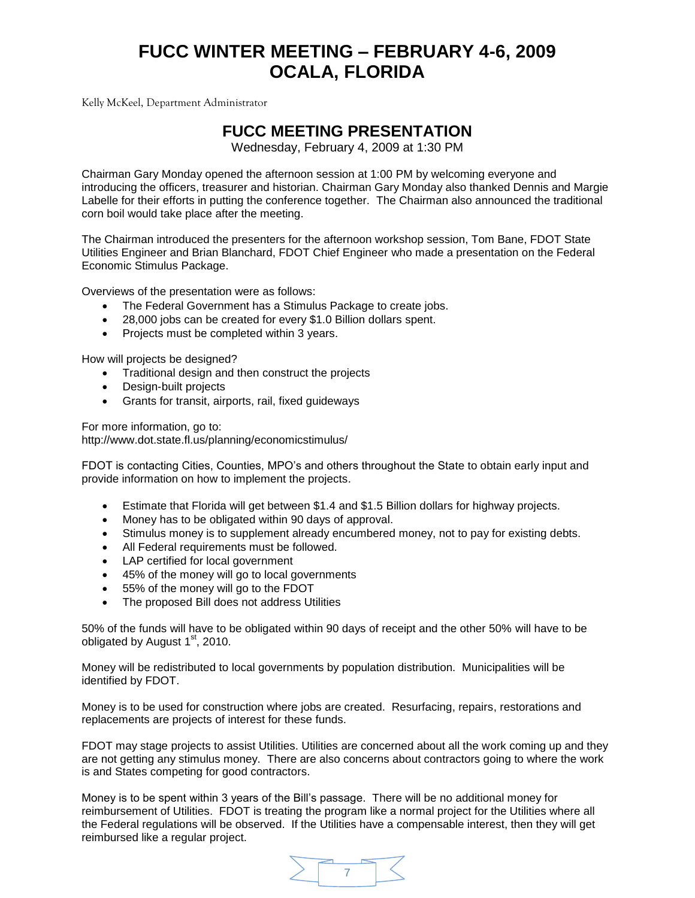Kelly McKeel, Department Administrator

### **FUCC MEETING PRESENTATION**

Wednesday, February 4, 2009 at 1:30 PM

Chairman Gary Monday opened the afternoon session at 1:00 PM by welcoming everyone and introducing the officers, treasurer and historian. Chairman Gary Monday also thanked Dennis and Margie Labelle for their efforts in putting the conference together. The Chairman also announced the traditional corn boil would take place after the meeting.

The Chairman introduced the presenters for the afternoon workshop session, Tom Bane, FDOT State Utilities Engineer and Brian Blanchard, FDOT Chief Engineer who made a presentation on the Federal Economic Stimulus Package.

Overviews of the presentation were as follows:

- The Federal Government has a Stimulus Package to create jobs.
- 28,000 jobs can be created for every \$1.0 Billion dollars spent.
- Projects must be completed within 3 years.

How will projects be designed?

- Traditional design and then construct the projects
- Design-built projects
- Grants for transit, airports, rail, fixed guideways

For more information, go to:

<http://www.dot.state.fl.us/planning/economicstimulus/>

FDOT is contacting Cities, Counties, MPO's and others throughout the State to obtain early input and provide information on how to implement the projects.

- Estimate that Florida will get between \$1.4 and \$1.5 Billion dollars for highway projects.
- Money has to be obligated within 90 days of approval.
- Stimulus money is to supplement already encumbered money, not to pay for existing debts.
- All Federal requirements must be followed.
- LAP certified for local government
- 45% of the money will go to local governments
- 55% of the money will go to the FDOT
- The proposed Bill does not address Utilities

50% of the funds will have to be obligated within 90 days of receipt and the other 50% will have to be obligated by August  $1<sup>st</sup>$ , 2010.

Money will be redistributed to local governments by population distribution. Municipalities will be identified by FDOT.

Money is to be used for construction where jobs are created. Resurfacing, repairs, restorations and replacements are projects of interest for these funds.

FDOT may stage projects to assist Utilities. Utilities are concerned about all the work coming up and they are not getting any stimulus money. There are also concerns about contractors going to where the work is and States competing for good contractors.

Money is to be spent within 3 years of the Bill's passage. There will be no additional money for reimbursement of Utilities. FDOT is treating the program like a normal project for the Utilities where all the Federal regulations will be observed. If the Utilities have a compensable interest, then they will get reimbursed like a regular project.

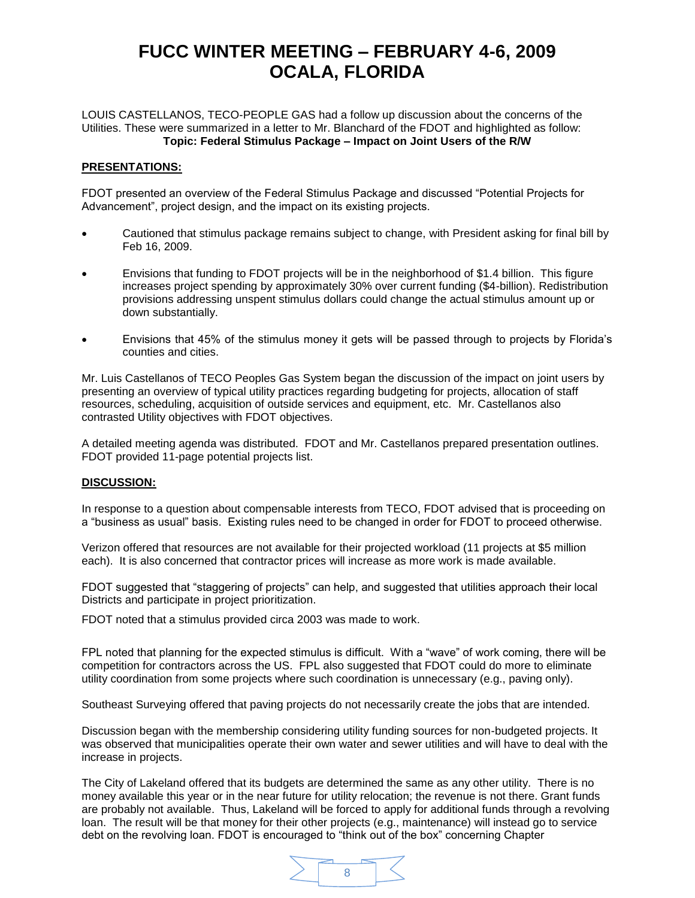LOUIS CASTELLANOS, TECO-PEOPLE GAS had a follow up discussion about the concerns of the Utilities. These were summarized in a letter to Mr. Blanchard of the FDOT and highlighted as follow: **Topic: Federal Stimulus Package – Impact on Joint Users of the R/W**

#### **PRESENTATIONS:**

FDOT presented an overview of the Federal Stimulus Package and discussed "Potential Projects for Advancement", project design, and the impact on its existing projects.

- Cautioned that stimulus package remains subject to change, with President asking for final bill by Feb 16, 2009.
- Envisions that funding to FDOT projects will be in the neighborhood of \$1.4 billion. This figure increases project spending by approximately 30% over current funding (\$4-billion). Redistribution provisions addressing unspent stimulus dollars could change the actual stimulus amount up or down substantially.
- Envisions that 45% of the stimulus money it gets will be passed through to projects by Florida's counties and cities.

Mr. Luis Castellanos of TECO Peoples Gas System began the discussion of the impact on joint users by presenting an overview of typical utility practices regarding budgeting for projects, allocation of staff resources, scheduling, acquisition of outside services and equipment, etc. Mr. Castellanos also contrasted Utility objectives with FDOT objectives.

A detailed meeting agenda was distributed. FDOT and Mr. Castellanos prepared presentation outlines. FDOT provided 11-page potential projects list.

#### **DISCUSSION:**

In response to a question about compensable interests from TECO, FDOT advised that is proceeding on a "business as usual" basis. Existing rules need to be changed in order for FDOT to proceed otherwise.

Verizon offered that resources are not available for their projected workload (11 projects at \$5 million each). It is also concerned that contractor prices will increase as more work is made available.

FDOT suggested that "staggering of projects" can help, and suggested that utilities approach their local Districts and participate in project prioritization.

FDOT noted that a stimulus provided circa 2003 was made to work.

FPL noted that planning for the expected stimulus is difficult. With a "wave" of work coming, there will be competition for contractors across the US. FPL also suggested that FDOT could do more to eliminate utility coordination from some projects where such coordination is unnecessary (e.g., paving only).

Southeast Surveying offered that paving projects do not necessarily create the jobs that are intended.

Discussion began with the membership considering utility funding sources for non-budgeted projects. It was observed that municipalities operate their own water and sewer utilities and will have to deal with the increase in projects.

The City of Lakeland offered that its budgets are determined the same as any other utility. There is no money available this year or in the near future for utility relocation; the revenue is not there. Grant funds are probably not available. Thus, Lakeland will be forced to apply for additional funds through a revolving loan. The result will be that money for their other projects (e.g., maintenance) will instead go to service debt on the revolving loan. FDOT is encouraged to "think out of the box" concerning Chapter

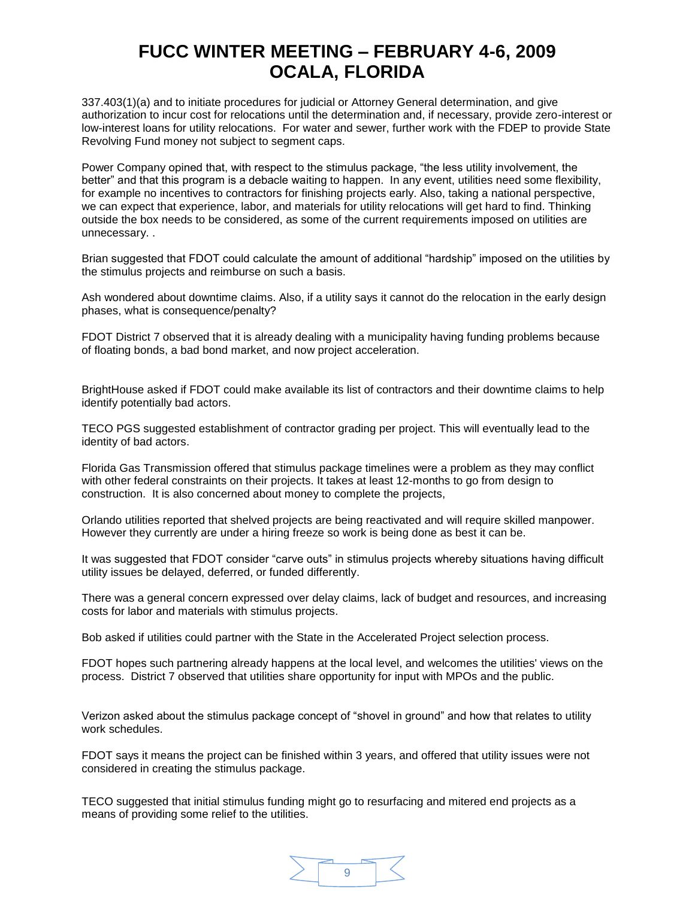337.403(1)(a) and to initiate procedures for judicial or Attorney General determination, and give authorization to incur cost for relocations until the determination and, if necessary, provide zero-interest or low-interest loans for utility relocations. For water and sewer, further work with the FDEP to provide State Revolving Fund money not subject to segment caps.

Power Company opined that, with respect to the stimulus package, "the less utility involvement, the better" and that this program is a debacle waiting to happen. In any event, utilities need some flexibility, for example no incentives to contractors for finishing projects early. Also, taking a national perspective, we can expect that experience, labor, and materials for utility relocations will get hard to find. Thinking outside the box needs to be considered, as some of the current requirements imposed on utilities are unnecessary. .

Brian suggested that FDOT could calculate the amount of additional "hardship" imposed on the utilities by the stimulus projects and reimburse on such a basis.

Ash wondered about downtime claims. Also, if a utility says it cannot do the relocation in the early design phases, what is consequence/penalty?

FDOT District 7 observed that it is already dealing with a municipality having funding problems because of floating bonds, a bad bond market, and now project acceleration.

BrightHouse asked if FDOT could make available its list of contractors and their downtime claims to help identify potentially bad actors.

TECO PGS suggested establishment of contractor grading per project. This will eventually lead to the identity of bad actors.

Florida Gas Transmission offered that stimulus package timelines were a problem as they may conflict with other federal constraints on their projects. It takes at least 12-months to go from design to construction. It is also concerned about money to complete the projects,

Orlando utilities reported that shelved projects are being reactivated and will require skilled manpower. However they currently are under a hiring freeze so work is being done as best it can be.

It was suggested that FDOT consider "carve outs" in stimulus projects whereby situations having difficult utility issues be delayed, deferred, or funded differently.

There was a general concern expressed over delay claims, lack of budget and resources, and increasing costs for labor and materials with stimulus projects.

Bob asked if utilities could partner with the State in the Accelerated Project selection process.

FDOT hopes such partnering already happens at the local level, and welcomes the utilities' views on the process. District 7 observed that utilities share opportunity for input with MPOs and the public.

Verizon asked about the stimulus package concept of "shovel in ground" and how that relates to utility work schedules.

FDOT says it means the project can be finished within 3 years, and offered that utility issues were not considered in creating the stimulus package.

TECO suggested that initial stimulus funding might go to resurfacing and mitered end projects as a means of providing some relief to the utilities.

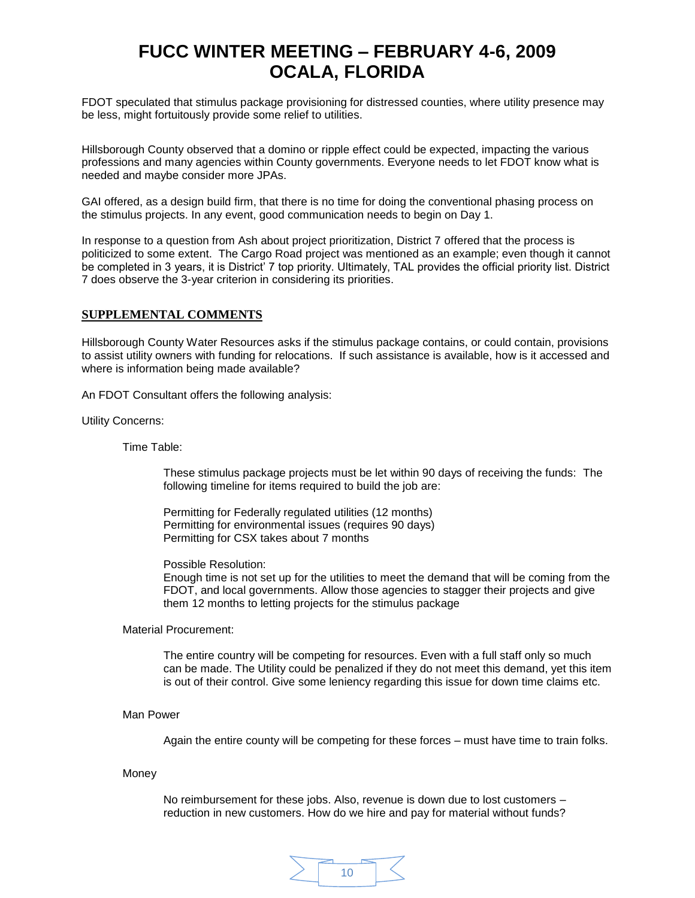FDOT speculated that stimulus package provisioning for distressed counties, where utility presence may be less, might fortuitously provide some relief to utilities.

Hillsborough County observed that a domino or ripple effect could be expected, impacting the various professions and many agencies within County governments. Everyone needs to let FDOT know what is needed and maybe consider more JPAs.

GAI offered, as a design build firm, that there is no time for doing the conventional phasing process on the stimulus projects. In any event, good communication needs to begin on Day 1.

In response to a question from Ash about project prioritization, District 7 offered that the process is politicized to some extent. The Cargo Road project was mentioned as an example; even though it cannot be completed in 3 years, it is District' 7 top priority. Ultimately, TAL provides the official priority list. District 7 does observe the 3-year criterion in considering its priorities.

#### **SUPPLEMENTAL COMMENTS**

Hillsborough County Water Resources asks if the stimulus package contains, or could contain, provisions to assist utility owners with funding for relocations. If such assistance is available, how is it accessed and where is information being made available?

An FDOT Consultant offers the following analysis:

Utility Concerns:

Time Table:

These stimulus package projects must be let within 90 days of receiving the funds: The following timeline for items required to build the job are:

Permitting for Federally regulated utilities (12 months) Permitting for environmental issues (requires 90 days) Permitting for CSX takes about 7 months

Possible Resolution:

Enough time is not set up for the utilities to meet the demand that will be coming from the FDOT, and local governments. Allow those agencies to stagger their projects and give them 12 months to letting projects for the stimulus package

#### Material Procurement:

The entire country will be competing for resources. Even with a full staff only so much can be made. The Utility could be penalized if they do not meet this demand, yet this item is out of their control. Give some leniency regarding this issue for down time claims etc.

Man Power

Again the entire county will be competing for these forces – must have time to train folks.

Money

No reimbursement for these jobs. Also, revenue is down due to lost customers – reduction in new customers. How do we hire and pay for material without funds?

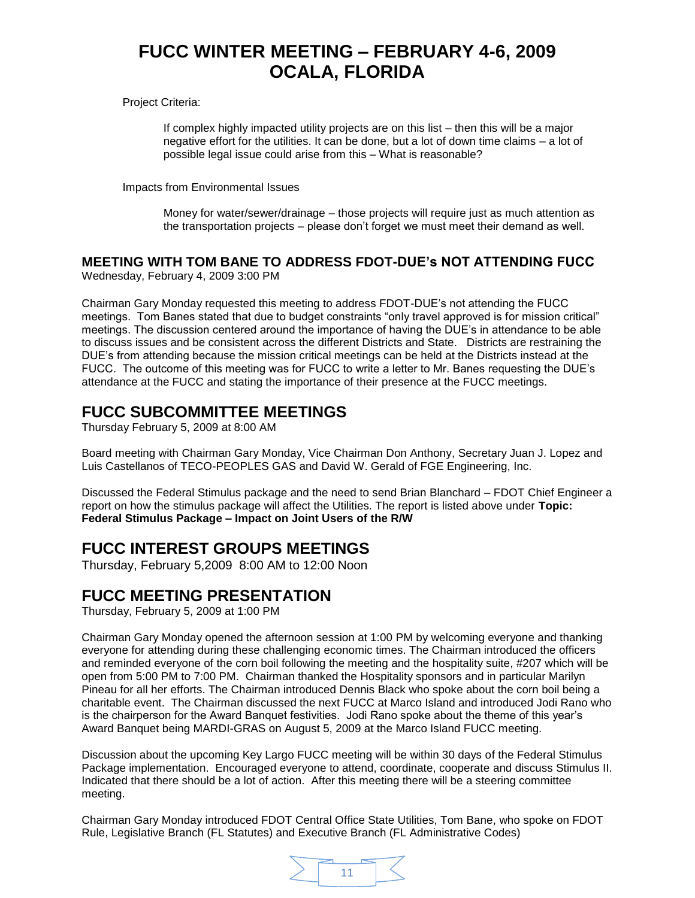Project Criteria:

If complex highly impacted utility projects are on this list – then this will be a major negative effort for the utilities. It can be done, but a lot of down time claims – a lot of possible legal issue could arise from this – What is reasonable?

Impacts from Environmental Issues

Money for water/sewer/drainage – those projects will require just as much attention as the transportation projects – please don't forget we must meet their demand as well.

### **MEETING WITH TOM BANE TO ADDRESS FDOT-DUE's NOT ATTENDING FUCC**

Wednesday, February 4, 2009 3:00 PM

Chairman Gary Monday requested this meeting to address FDOT-DUE's not attending the FUCC meetings. Tom Banes stated that due to budget constraints "only travel approved is for mission critical" meetings. The discussion centered around the importance of having the DUE's in attendance to be able to discuss issues and be consistent across the different Districts and State. Districts are restraining the DUE's from attending because the mission critical meetings can be held at the Districts instead at the FUCC. The outcome of this meeting was for FUCC to write a letter to Mr. Banes requesting the DUE's attendance at the FUCC and stating the importance of their presence at the FUCC meetings.

### **FUCC SUBCOMMITTEE MEETINGS**

Thursday February 5, 2009 at 8:00 AM

Board meeting with Chairman Gary Monday, Vice Chairman Don Anthony, Secretary Juan J. Lopez and Luis Castellanos of TECO-PEOPLES GAS and David W. Gerald of FGE Engineering, Inc.

Discussed the Federal Stimulus package and the need to send Brian Blanchard – FDOT Chief Engineer a report on how the stimulus package will affect the Utilities. The report is listed above under **Topic: Federal Stimulus Package – Impact on Joint Users of the R/W**

### **FUCC INTEREST GROUPS MEETINGS**

Thursday, February 5,2009 8:00 AM to 12:00 Noon

### **FUCC MEETING PRESENTATION**

Thursday, February 5, 2009 at 1:00 PM

Chairman Gary Monday opened the afternoon session at 1:00 PM by welcoming everyone and thanking everyone for attending during these challenging economic times. The Chairman introduced the officers and reminded everyone of the corn boil following the meeting and the hospitality suite, #207 which will be open from 5:00 PM to 7:00 PM. Chairman thanked the Hospitality sponsors and in particular Marilyn Pineau for all her efforts. The Chairman introduced Dennis Black who spoke about the corn boil being a charitable event. The Chairman discussed the next FUCC at Marco Island and introduced Jodi Rano who is the chairperson for the Award Banquet festivities. Jodi Rano spoke about the theme of this year's Award Banquet being MARDI-GRAS on August 5, 2009 at the Marco Island FUCC meeting.

Discussion about the upcoming Key Largo FUCC meeting will be within 30 days of the Federal Stimulus Package implementation. Encouraged everyone to attend, coordinate, cooperate and discuss Stimulus II. Indicated that there should be a lot of action. After this meeting there will be a steering committee meeting.

Chairman Gary Monday introduced FDOT Central Office State Utilities, Tom Bane, who spoke on FDOT Rule, Legislative Branch (FL Statutes) and Executive Branch (FL Administrative Codes)

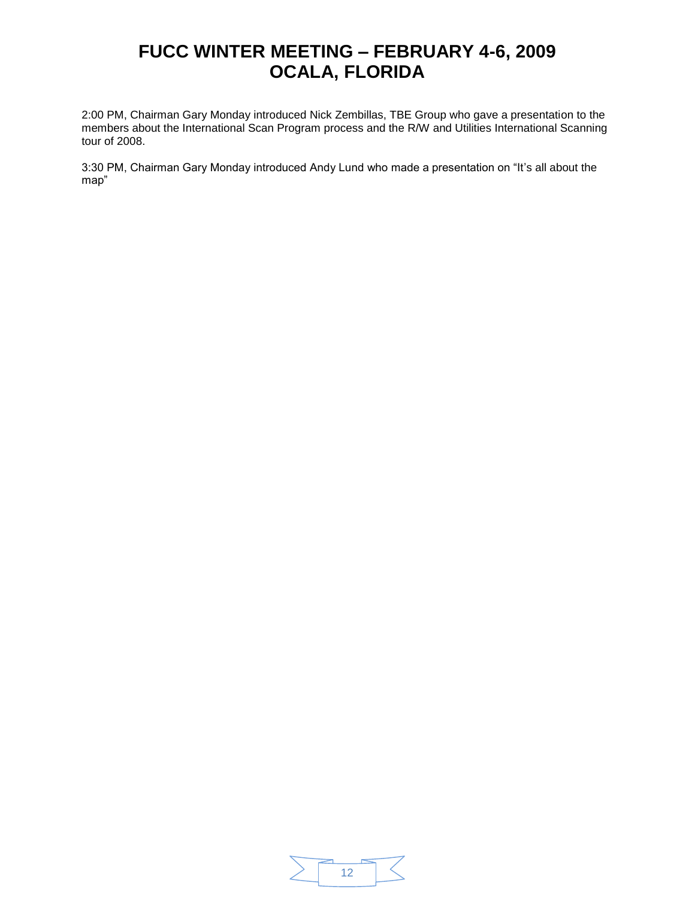2:00 PM, Chairman Gary Monday introduced Nick Zembillas, TBE Group who gave a presentation to the members about the International Scan Program process and the R/W and Utilities International Scanning tour of 2008.

3:30 PM, Chairman Gary Monday introduced Andy Lund who made a presentation on "It's all about the map"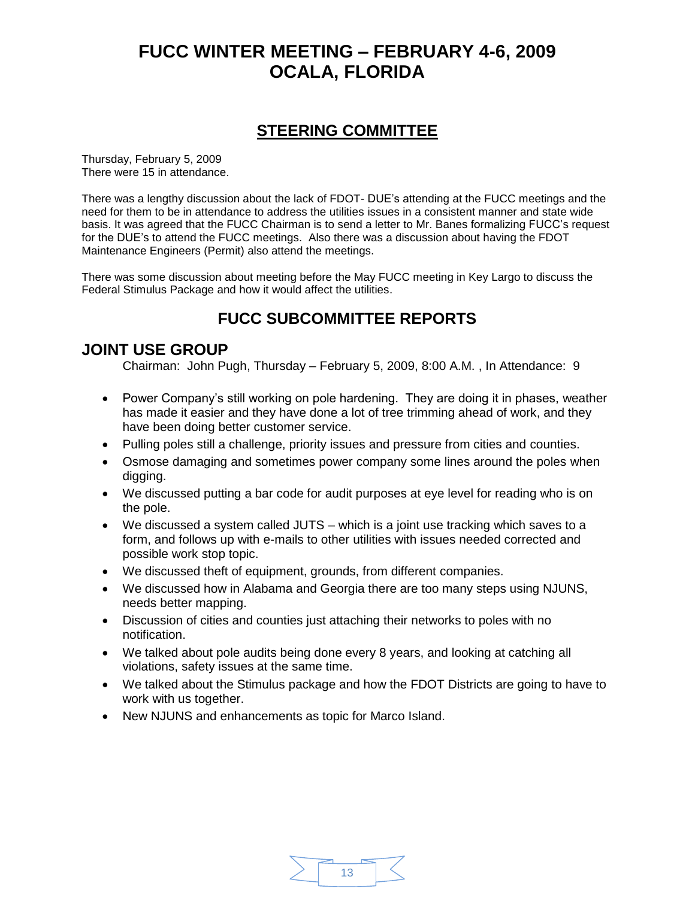### **STEERING COMMITTEE**

Thursday, February 5, 2009 There were 15 in attendance.

There was a lengthy discussion about the lack of FDOT- DUE's attending at the FUCC meetings and the need for them to be in attendance to address the utilities issues in a consistent manner and state wide basis. It was agreed that the FUCC Chairman is to send a letter to Mr. Banes formalizing FUCC's request for the DUE's to attend the FUCC meetings. Also there was a discussion about having the FDOT Maintenance Engineers (Permit) also attend the meetings.

There was some discussion about meeting before the May FUCC meeting in Key Largo to discuss the Federal Stimulus Package and how it would affect the utilities.

### **FUCC SUBCOMMITTEE REPORTS**

### **JOINT USE GROUP**

Chairman: John Pugh, Thursday – February 5, 2009, 8:00 A.M. , In Attendance: 9

- Power Company's still working on pole hardening. They are doing it in phases, weather has made it easier and they have done a lot of tree trimming ahead of work, and they have been doing better customer service.
- Pulling poles still a challenge, priority issues and pressure from cities and counties.
- Osmose damaging and sometimes power company some lines around the poles when digging.
- We discussed putting a bar code for audit purposes at eye level for reading who is on the pole.
- We discussed a system called JUTS which is a joint use tracking which saves to a form, and follows up with e-mails to other utilities with issues needed corrected and possible work stop topic.
- We discussed theft of equipment, grounds, from different companies.
- We discussed how in Alabama and Georgia there are too many steps using NJUNS, needs better mapping.
- Discussion of cities and counties just attaching their networks to poles with no notification.
- We talked about pole audits being done every 8 years, and looking at catching all violations, safety issues at the same time.
- We talked about the Stimulus package and how the FDOT Districts are going to have to work with us together.
- New NJUNS and enhancements as topic for Marco Island.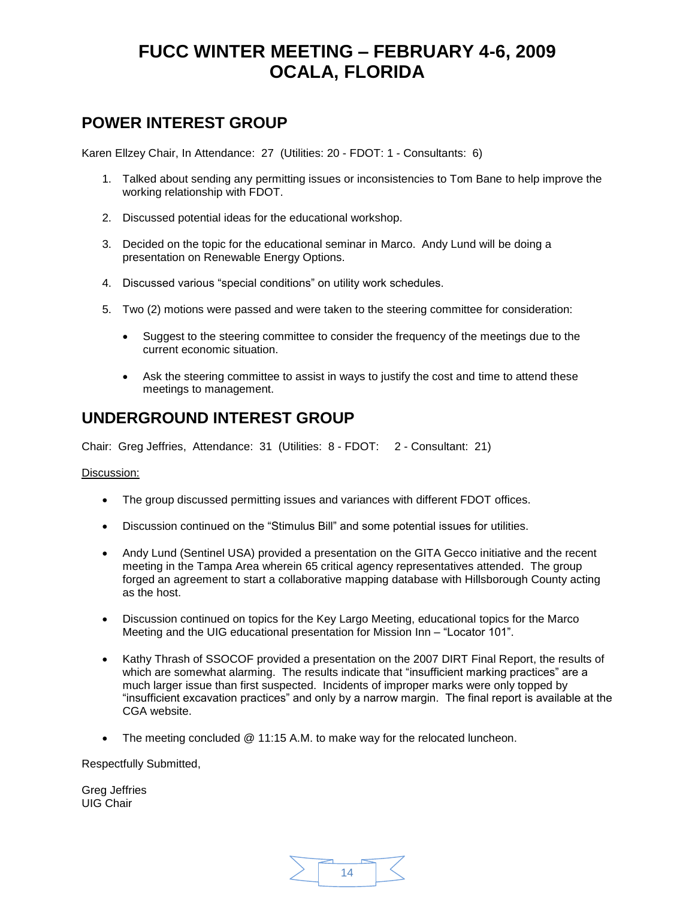### **POWER INTEREST GROUP**

Karen Ellzey Chair, In Attendance: 27 (Utilities: 20 - FDOT: 1 - Consultants: 6)

- 1. Talked about sending any permitting issues or inconsistencies to Tom Bane to help improve the working relationship with FDOT.
- 2. Discussed potential ideas for the educational workshop.
- 3. Decided on the topic for the educational seminar in Marco. Andy Lund will be doing a presentation on Renewable Energy Options.
- 4. Discussed various "special conditions" on utility work schedules.
- 5. Two (2) motions were passed and were taken to the steering committee for consideration:
	- Suggest to the steering committee to consider the frequency of the meetings due to the current economic situation.
	- Ask the steering committee to assist in ways to justify the cost and time to attend these meetings to management.

### **UNDERGROUND INTEREST GROUP**

Chair: Greg Jeffries, Attendance: 31 (Utilities: 8 - FDOT: 2 - Consultant: 21)

Discussion:

- The group discussed permitting issues and variances with different FDOT offices.
- Discussion continued on the "Stimulus Bill" and some potential issues for utilities.
- Andy Lund (Sentinel USA) provided a presentation on the GITA Gecco initiative and the recent meeting in the Tampa Area wherein 65 critical agency representatives attended. The group forged an agreement to start a collaborative mapping database with Hillsborough County acting as the host.
- Discussion continued on topics for the Key Largo Meeting, educational topics for the Marco Meeting and the UIG educational presentation for Mission Inn – "Locator 101".
- Kathy Thrash of SSOCOF provided a presentation on the 2007 DIRT Final Report, the results of which are somewhat alarming. The results indicate that "insufficient marking practices" are a much larger issue than first suspected. Incidents of improper marks were only topped by "insufficient excavation practices" and only by a narrow margin. The final report is available at the CGA website.
- The meeting concluded @ 11:15 A.M. to make way for the relocated luncheon.

Respectfully Submitted,

Greg Jeffries UIG Chair

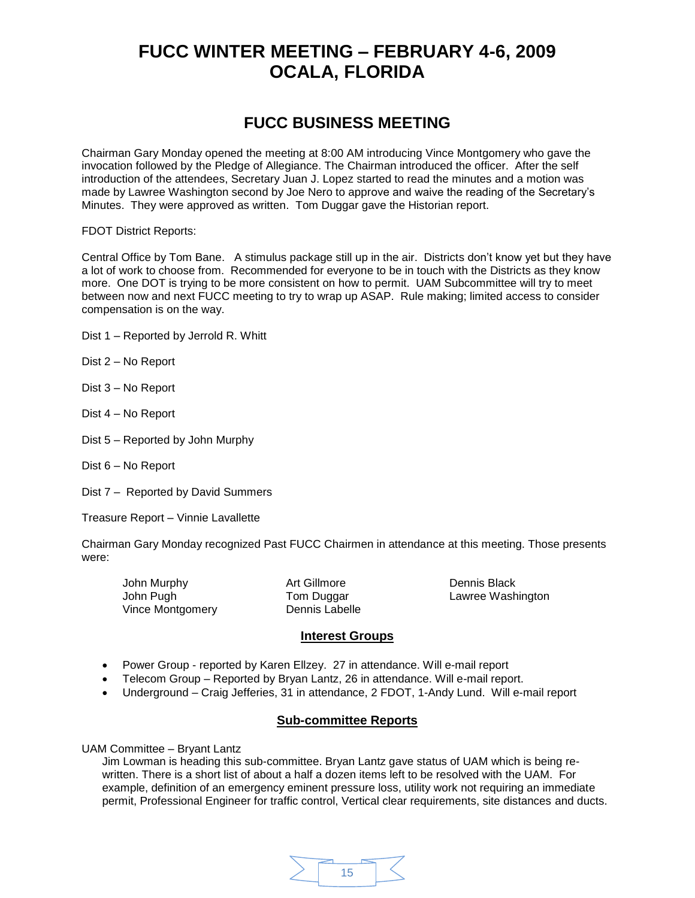### **FUCC BUSINESS MEETING**

Chairman Gary Monday opened the meeting at 8:00 AM introducing Vince Montgomery who gave the invocation followed by the Pledge of Allegiance. The Chairman introduced the officer. After the self introduction of the attendees, Secretary Juan J. Lopez started to read the minutes and a motion was made by Lawree Washington second by Joe Nero to approve and waive the reading of the Secretary's Minutes. They were approved as written. Tom Duggar gave the Historian report.

FDOT District Reports:

Central Office by Tom Bane. A stimulus package still up in the air. Districts don't know yet but they have a lot of work to choose from. Recommended for everyone to be in touch with the Districts as they know more. One DOT is trying to be more consistent on how to permit. UAM Subcommittee will try to meet between now and next FUCC meeting to try to wrap up ASAP. Rule making; limited access to consider compensation is on the way.

- Dist 1 Reported by Jerrold R. Whitt
- Dist 2 No Report
- Dist 3 No Report
- Dist 4 No Report
- Dist 5 Reported by John Murphy
- Dist 6 No Report
- Dist 7 Reported by David Summers

Treasure Report – Vinnie Lavallette

Chairman Gary Monday recognized Past FUCC Chairmen in attendance at this meeting. Those presents were:

John Murphy **Art Gillmore** Dennis Black John Pugh Tom Duggar Lawree Washington Vince Montgomery Dennis Labelle

#### **Interest Groups**

- Power Group reported by Karen Ellzey. 27 in attendance. Will e-mail report
- Telecom Group Reported by Bryan Lantz, 26 in attendance. Will e-mail report.
- Underground Craig Jefferies, 31 in attendance, 2 FDOT, 1-Andy Lund. Will e-mail report

#### **Sub-committee Reports**

UAM Committee – Bryant Lantz

Jim Lowman is heading this sub-committee. Bryan Lantz gave status of UAM which is being rewritten. There is a short list of about a half a dozen items left to be resolved with the UAM. For example, definition of an emergency eminent pressure loss, utility work not requiring an immediate permit, Professional Engineer for traffic control, Vertical clear requirements, site distances and ducts.